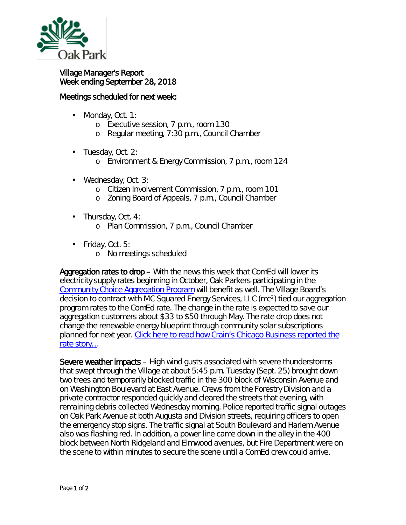

## Village Manager's Report Week ending September 28, 2018

## Meetings scheduled for next week:

- Monday, Oct. 1: ä,
	- o Executive session, 7 p.m., room 130
	- o Regular meeting, 7:30 p.m., Council Chamber
- . Tuesday, Oct. 2:
	- o Environment & Energy Commission, 7 p.m., room 124
- Wednesday, Oct. 3:
	- o Citizen Involvement Commission, 7 p.m., room 101
	- o Zoning Board of Appeals, 7 p.m., Council Chamber
- Thursday, Oct. 4: ä, o Plan Commission, 7 p.m., Council Chamber
- Friday, Oct. 5:
	- o No meetings scheduled

Aggregation rates to drop – With the news this week that ComEd will lower its electricity supply rates beginning in October, Oak Parkers participating in the [Community Choice Aggregation Program](https://www.oak-park.us/your-government/environmental-initiatives/aggregation/20182019-community-choice-aggregation) will benefit as well. The Village Board's decision to contract with MC Squared Energy Services, LLC (mc²) tied our aggregation program rates to the ComEd rate. The change in the rate is expected to save our aggregation customers about \$33 to \$50 through May. The rate drop does not change the renewable energy blueprint through community solar subscriptions planned for next year. Click here to read how Crain's Chicago Business reported the [rate story…](https://www.oak-park.us/sites/default/files/456678891/2018-09-26-comed_price_was_supposed_to_rise_-_crains.pdf)

Severe weather impacts – High wind gusts associated with severe thunderstorms that swept through the Village at about 5:45 p.m. Tuesday (Sept. 25) brought down two trees and temporarily blocked traffic in the 300 block of Wisconsin Avenue and on Washington Boulevard at East Avenue. Crews from the Forestry Division and a private contractor responded quickly and cleared the streets that evening, with remaining debris collected Wednesday morning. Police reported traffic signal outages on Oak Park Avenue at both Augusta and Division streets, requiring officers to open the emergency stop signs. The traffic signal at South Boulevard and Harlem Avenue also was flashing red. In addition, a power line came down in the alley in the 400 block between North Ridgeland and Elmwood avenues, but Fire Department were on the scene to within minutes to secure the scene until a ComEd crew could arrive.